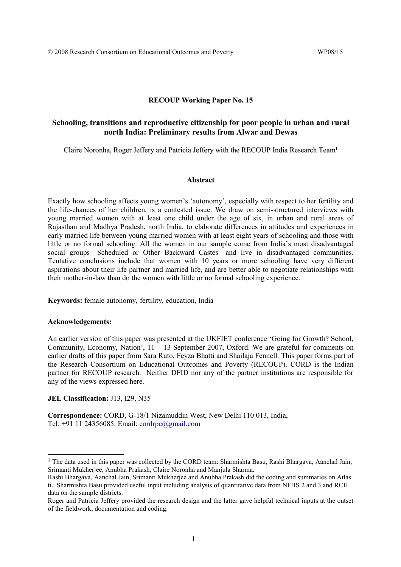#### **RECOUP Working Paper No. 15**

## **Schooling, transitions and reproductive citizenship for poor people in urban and rural north India: Preliminary results from Alwar and Dewas**

Claire Noronha, Roger Jeffery and Patricia Jeffery with the RECOUP India Research Team**[1](#page-0-0)**

#### **Abstract**

Exactly how schooling affects young women's 'autonomy', especially with respect to her fertility and the life-chances of her children, is a contested issue. We draw on semi-structured interviews with young married women with at least one child under the age of six, in urban and rural areas of Rajasthan and Madhya Pradesh, north India, to elaborate differences in attitudes and experiences in early married life between young married women with at least eight years of schooling and those with little or no formal schooling. All the women in our sample come from India's most disadvantaged social groups—Scheduled or Other Backward Castes—and live in disadvantaged communities. Tentative conclusions include that women with 10 years or more schooling have very different aspirations about their life partner and married life, and are better able to negotiate relationships with their mother-in-law than do the women with little or no formal schooling experience.

**Keywords:** female autonomy, fertility, education, India

### **Acknowledgements:**

An earlier version of this paper was presented at the UKFIET conference 'Going for Growth? School, Community, Economy, Nation', 11 – 13 September 2007, Oxford. We are grateful for comments on earlier drafts of this paper from Sara Ruto, Feyza Bhatti and Shailaja Fennell. This paper forms part of the Research Consortium on Educational Outcomes and Poverty (RECOUP). CORD is the Indian partner for RECOUP research. Neither DFID nor any of the partner institutions are responsible for any of the views expressed here.

#### **JEL Classification:** J13, I29, N35

**Correspondence:** CORD, G-18/1 Nizamuddin West, New Delhi 110 013, India, Tel: +91 11 24356085. Email: [cordrpc@gmail.com](mailto:cordrpc@gmail.com)

<span id="page-0-0"></span><sup>&</sup>lt;sup>1</sup> The data used in this paper was collected by the CORD team: Sharmishta Basu, Rashi Bhargava, Aanchal Jain, Srimanti Mukherjee, Anubha Prakash, Claire Noronha and Manjula Sharma.

Rashi Bhargava, Aanchal Jain, Srimanti Mukherjee and Anubha Prakash did the coding and summaries on Atlas ti. Sharmishta Basu provided useful input including analysis of quantitative data from NFHS 2 and 3 and RCH data on the sample districts.

Roger and Patricia Jeffery provided the research design and the latter gave helpful technical inputs at the outset of the fieldwork, documentation and coding.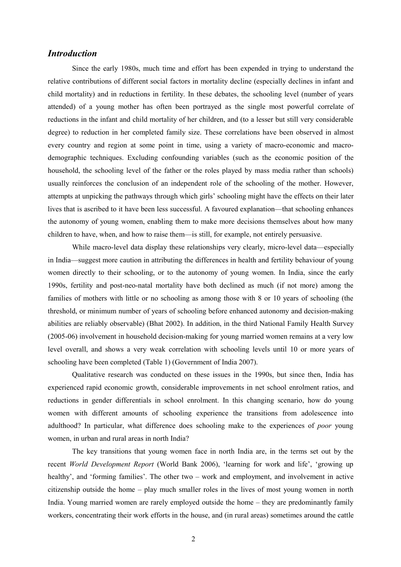## *Introduction*

Since the early 1980s, much time and effort has been expended in trying to understand the relative contributions of different social factors in mortality decline (especially declines in infant and child mortality) and in reductions in fertility. In these debates, the schooling level (number of years attended) of a young mother has often been portrayed as the single most powerful correlate of reductions in the infant and child mortality of her children, and (to a lesser but still very considerable degree) to reduction in her completed family size. These correlations have been observed in almost every country and region at some point in time, using a variety of macro-economic and macrodemographic techniques. Excluding confounding variables (such as the economic position of the household, the schooling level of the father or the roles played by mass media rather than schools) usually reinforces the conclusion of an independent role of the schooling of the mother. However, attempts at unpicking the pathways through which girls' schooling might have the effects on their later lives that is ascribed to it have been less successful. A favoured explanation—that schooling enhances the autonomy of young women, enabling them to make more decisions themselves about how many children to have, when, and how to raise them—is still, for example, not entirely persuasive.

While macro-level data display these relationships very clearly, micro-level data—especially in India—suggest more caution in attributing the differences in health and fertility behaviour of young women directly to their schooling, or to the autonomy of young women. In India, since the early 1990s, fertility and post-neo-natal mortality have both declined as much (if not more) among the families of mothers with little or no schooling as among those with 8 or 10 years of schooling (the threshold, or minimum number of years of schooling before enhanced autonomy and decision-making abilities are reliably observable) (Bhat 2002). In addition, in the third National Family Health Survey (2005-06) involvement in household decision-making for young married women remains at a very low level overall, and shows a very weak correlation with schooling levels until 10 or more years of schooling have been completed (Table 1) (Government of India 2007).

Qualitative research was conducted on these issues in the 1990s, but since then, India has experienced rapid economic growth, considerable improvements in net school enrolment ratios, and reductions in gender differentials in school enrolment. In this changing scenario, how do young women with different amounts of schooling experience the transitions from adolescence into adulthood? In particular, what difference does schooling make to the experiences of *poor* young women, in urban and rural areas in north India?

The key transitions that young women face in north India are, in the terms set out by the recent *World Development Report* (World Bank 2006), 'learning for work and life', 'growing up healthy', and 'forming families'. The other two – work and employment, and involvement in active citizenship outside the home – play much smaller roles in the lives of most young women in north India. Young married women are rarely employed outside the home – they are predominantly family workers, concentrating their work efforts in the house, and (in rural areas) sometimes around the cattle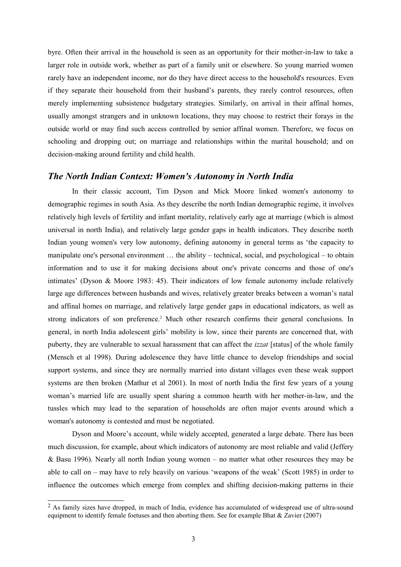byre. Often their arrival in the household is seen as an opportunity for their mother-in-law to take a larger role in outside work, whether as part of a family unit or elsewhere. So young married women rarely have an independent income, nor do they have direct access to the household's resources. Even if they separate their household from their husband's parents, they rarely control resources, often merely implementing subsistence budgetary strategies. Similarly, on arrival in their affinal homes, usually amongst strangers and in unknown locations, they may choose to restrict their forays in the outside world or may find such access controlled by senior affinal women. Therefore, we focus on schooling and dropping out; on marriage and relationships within the marital household; and on decision-making around fertility and child health.

### *The North Indian Context: Women's Autonomy in North India*

In their classic account, Tim Dyson and Mick Moore linked women's autonomy to demographic regimes in south Asia. As they describe the north Indian demographic regime, it involves relatively high levels of fertility and infant mortality, relatively early age at marriage (which is almost universal in north India), and relatively large gender gaps in health indicators. They describe north Indian young women's very low autonomy, defining autonomy in general terms as 'the capacity to manipulate one's personal environment … the ability – technical, social, and psychological – to obtain information and to use it for making decisions about one's private concerns and those of one's intimates' (Dyson & Moore 1983: 45). Their indicators of low female autonomy include relatively large age differences between husbands and wives, relatively greater breaks between a woman's natal and affinal homes on marriage, and relatively large gender gaps in educational indicators, as well as strong indicators of son preference.<sup>[2](#page-2-0)</sup> Much other research confirms their general conclusions. In general, in north India adolescent girls' mobility is low, since their parents are concerned that, with puberty, they are vulnerable to sexual harassment that can affect the *izzat* [status] of the whole family (Mensch et al 1998). During adolescence they have little chance to develop friendships and social support systems, and since they are normally married into distant villages even these weak support systems are then broken (Mathur et al 2001). In most of north India the first few years of a young woman's married life are usually spent sharing a common hearth with her mother-in-law, and the tussles which may lead to the separation of households are often major events around which a woman's autonomy is contested and must be negotiated.

Dyson and Moore's account, while widely accepted, generated a large debate. There has been much discussion, for example, about which indicators of autonomy are most reliable and valid (Jeffery & Basu 1996). Nearly all north Indian young women – no matter what other resources they may be able to call on – may have to rely heavily on various 'weapons of the weak' (Scott 1985) in order to influence the outcomes which emerge from complex and shifting decision-making patterns in their

<span id="page-2-0"></span><sup>&</sup>lt;sup>2</sup> As family sizes have dropped, in much of India, evidence has accumulated of widespread use of ultra-sound equipment to identify female foetuses and then aborting them. See for example Bhat & Zavier (2007)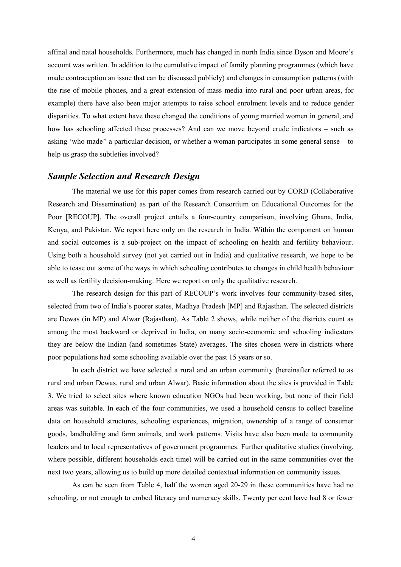affinal and natal households. Furthermore, much has changed in north India since Dyson and Moore's account was written. In addition to the cumulative impact of family planning programmes (which have made contraception an issue that can be discussed publicly) and changes in consumption patterns (with the rise of mobile phones, and a great extension of mass media into rural and poor urban areas, for example) there have also been major attempts to raise school enrolment levels and to reduce gender disparities. To what extent have these changed the conditions of young married women in general, and how has schooling affected these processes? And can we move beyond crude indicators – such as asking 'who made'' a particular decision, or whether a woman participates in some general sense – to help us grasp the subtleties involved?

## *Sample Selection and Research Design*

The material we use for this paper comes from research carried out by CORD (Collaborative Research and Dissemination) as part of the Research Consortium on Educational Outcomes for the Poor [RECOUP]. The overall project entails a four-country comparison, involving Ghana, India, Kenya, and Pakistan. We report here only on the research in India. Within the component on human and social outcomes is a sub-project on the impact of schooling on health and fertility behaviour. Using both a household survey (not yet carried out in India) and qualitative research, we hope to be able to tease out some of the ways in which schooling contributes to changes in child health behaviour as well as fertility decision-making. Here we report on only the qualitative research.

The research design for this part of RECOUP's work involves four community-based sites, selected from two of India's poorer states, Madhya Pradesh [MP] and Rajasthan. The selected districts are Dewas (in MP) and Alwar (Rajasthan). As Table 2 shows, while neither of the districts count as among the most backward or deprived in India, on many socio-economic and schooling indicators they are below the Indian (and sometimes State) averages. The sites chosen were in districts where poor populations had some schooling available over the past 15 years or so.

In each district we have selected a rural and an urban community (hereinafter referred to as rural and urban Dewas, rural and urban Alwar). Basic information about the sites is provided in Table 3. We tried to select sites where known education NGOs had been working, but none of their field areas was suitable. In each of the four communities, we used a household census to collect baseline data on household structures, schooling experiences, migration, ownership of a range of consumer goods, landholding and farm animals, and work patterns. Visits have also been made to community leaders and to local representatives of government programmes. Further qualitative studies (involving, where possible, different households each time) will be carried out in the same communities over the next two years, allowing us to build up more detailed contextual information on community issues.

As can be seen from Table 4, half the women aged 20-29 in these communities have had no schooling, or not enough to embed literacy and numeracy skills. Twenty per cent have had 8 or fewer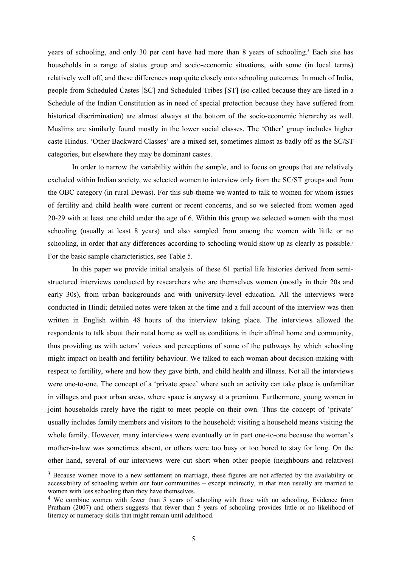years of schooling, and only [3](#page-4-0)0 per cent have had more than 8 years of schooling.<sup>3</sup> Each site has households in a range of status group and socio-economic situations, with some (in local terms) relatively well off, and these differences map quite closely onto schooling outcomes. In much of India, people from Scheduled Castes [SC] and Scheduled Tribes [ST] (so-called because they are listed in a Schedule of the Indian Constitution as in need of special protection because they have suffered from historical discrimination) are almost always at the bottom of the socio-economic hierarchy as well. Muslims are similarly found mostly in the lower social classes. The 'Other' group includes higher caste Hindus. 'Other Backward Classes' are a mixed set, sometimes almost as badly off as the SC/ST categories, but elsewhere they may be dominant castes.

In order to narrow the variability within the sample, and to focus on groups that are relatively excluded within Indian society, we selected women to interview only from the SC/ST groups and from the OBC category (in rural Dewas). For this sub-theme we wanted to talk to women for whom issues of fertility and child health were current or recent concerns, and so we selected from women aged 20-29 with at least one child under the age of 6. Within this group we selected women with the most schooling (usually at least 8 years) and also sampled from among the women with little or no schooling, in order that any differences according to schooling would show up as clearly as possible[.](#page-4-1)<sup>4</sup> For the basic sample characteristics, see Table 5.

In this paper we provide initial analysis of these 61 partial life histories derived from semistructured interviews conducted by researchers who are themselves women (mostly in their 20s and early 30s), from urban backgrounds and with university-level education. All the interviews were conducted in Hindi; detailed notes were taken at the time and a full account of the interview was then written in English within 48 hours of the interview taking place. The interviews allowed the respondents to talk about their natal home as well as conditions in their affinal home and community, thus providing us with actors' voices and perceptions of some of the pathways by which schooling might impact on health and fertility behaviour. We talked to each woman about decision-making with respect to fertility, where and how they gave birth, and child health and illness. Not all the interviews were one-to-one. The concept of a 'private space' where such an activity can take place is unfamiliar in villages and poor urban areas, where space is anyway at a premium. Furthermore, young women in joint households rarely have the right to meet people on their own. Thus the concept of 'private' usually includes family members and visitors to the household: visiting a household means visiting the whole family. However, many interviews were eventually or in part one-to-one because the woman's mother-in-law was sometimes absent, or others were too busy or too bored to stay for long. On the other hand, several of our interviews were cut short when other people (neighbours and relatives)

<span id="page-4-0"></span> $3$  Because women move to a new settlement on marriage, these figures are not affected by the availability or accessibility of schooling within our four communities – except indirectly, in that men usually are married to women with less schooling than they have themselves.

<span id="page-4-1"></span><sup>&</sup>lt;sup>4</sup> We combine women with fewer than 5 years of schooling with those with no schooling. Evidence from Pratham (2007) and others suggests that fewer than 5 years of schooling provides little or no likelihood of literacy or numeracy skills that might remain until adulthood.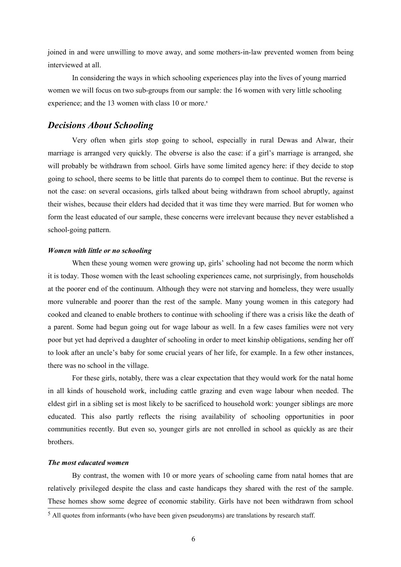joined in and were unwilling to move away, and some mothers-in-law prevented women from being interviewed at all.

In considering the ways in which schooling experiences play into the lives of young married women we will focus on two sub-groups from our sample: the 16 women with very little schooling experience; and the 13 women with class 10 or more.<sup>[5](#page-5-0)</sup>

## *Decisions About Schooling*

Very often when girls stop going to school, especially in rural Dewas and Alwar, their marriage is arranged very quickly. The obverse is also the case: if a girl's marriage is arranged, she will probably be withdrawn from school. Girls have some limited agency here: if they decide to stop going to school, there seems to be little that parents do to compel them to continue. But the reverse is not the case: on several occasions, girls talked about being withdrawn from school abruptly, against their wishes, because their elders had decided that it was time they were married. But for women who form the least educated of our sample, these concerns were irrelevant because they never established a school-going pattern.

### *Women with little or no schooling*

When these young women were growing up, girls' schooling had not become the norm which it is today. Those women with the least schooling experiences came, not surprisingly, from households at the poorer end of the continuum. Although they were not starving and homeless, they were usually more vulnerable and poorer than the rest of the sample. Many young women in this category had cooked and cleaned to enable brothers to continue with schooling if there was a crisis like the death of a parent. Some had begun going out for wage labour as well. In a few cases families were not very poor but yet had deprived a daughter of schooling in order to meet kinship obligations, sending her off to look after an uncle's baby for some crucial years of her life, for example. In a few other instances, there was no school in the village.

For these girls, notably, there was a clear expectation that they would work for the natal home in all kinds of household work, including cattle grazing and even wage labour when needed. The eldest girl in a sibling set is most likely to be sacrificed to household work: younger siblings are more educated. This also partly reflects the rising availability of schooling opportunities in poor communities recently. But even so, younger girls are not enrolled in school as quickly as are their brothers.

### *The most educated women*

By contrast, the women with 10 or more years of schooling came from natal homes that are relatively privileged despite the class and caste handicaps they shared with the rest of the sample. These homes show some degree of economic stability. Girls have not been withdrawn from school

<span id="page-5-0"></span> $<sup>5</sup>$  All quotes from informants (who have been given pseudonyms) are translations by research staff.</sup>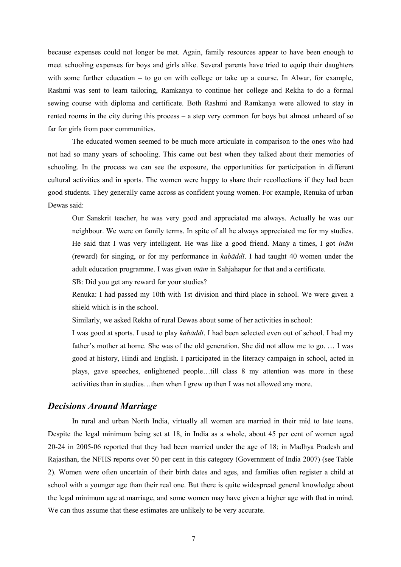because expenses could not longer be met. Again, family resources appear to have been enough to meet schooling expenses for boys and girls alike. Several parents have tried to equip their daughters with some further education – to go on with college or take up a course. In Alwar, for example, Rashmi was sent to learn tailoring, Ramkanya to continue her college and Rekha to do a formal sewing course with diploma and certificate. Both Rashmi and Ramkanya were allowed to stay in rented rooms in the city during this process – a step very common for boys but almost unheard of so far for girls from poor communities.

The educated women seemed to be much more articulate in comparison to the ones who had not had so many years of schooling. This came out best when they talked about their memories of schooling. In the process we can see the exposure, the opportunities for participation in different cultural activities and in sports. The women were happy to share their recollections if they had been good students. They generally came across as confident young women. For example, Renuka of urban Dewas said:

Our Sanskrit teacher, he was very good and appreciated me always. Actually he was our neighbour. We were on family terms. In spite of all he always appreciated me for my studies. He said that I was very intelligent. He was like a good friend. Many a times, I got *inām* (reward) for singing, or for my performance in *kabāddī*. I had taught 40 women under the adult education programme. I was given *inām* in Sahjahapur for that and a certificate.

SB: Did you get any reward for your studies?

Renuka: I had passed my 10th with 1st division and third place in school. We were given a shield which is in the school.

Similarly, we asked Rekha of rural Dewas about some of her activities in school:

I was good at sports. I used to play *kabāddī*. I had been selected even out of school. I had my father's mother at home. She was of the old generation. She did not allow me to go. … I was good at history, Hindi and English. I participated in the literacy campaign in school, acted in plays, gave speeches, enlightened people…till class 8 my attention was more in these activities than in studies…then when I grew up then I was not allowed any more.

## *Decisions Around Marriage*

In rural and urban North India, virtually all women are married in their mid to late teens. Despite the legal minimum being set at 18, in India as a whole, about 45 per cent of women aged 20-24 in 2005-06 reported that they had been married under the age of 18; in Madhya Pradesh and Rajasthan, the NFHS reports over 50 per cent in this category (Government of India 2007) (see Table 2). Women were often uncertain of their birth dates and ages, and families often register a child at school with a younger age than their real one. But there is quite widespread general knowledge about the legal minimum age at marriage, and some women may have given a higher age with that in mind. We can thus assume that these estimates are unlikely to be very accurate.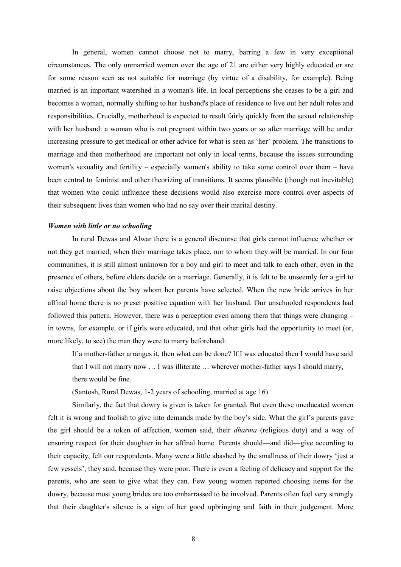In general, women cannot choose not to marry, barring a few in very exceptional circumstances. The only unmarried women over the age of 21 are either very highly educated or are for some reason seen as not suitable for marriage (by virtue of a disability, for example). Being married is an important watershed in a woman's life. In local perceptions she ceases to be a girl and becomes a woman, normally shifting to her husband's place of residence to live out her adult roles and responsibilities. Crucially, motherhood is expected to result fairly quickly from the sexual relationship with her husband: a woman who is not pregnant within two years or so after marriage will be under increasing pressure to get medical or other advice for what is seen as 'her' problem. The transitions to marriage and then motherhood are important not only in local terms, because the issues surrounding women's sexuality and fertility – especially women's ability to take some control over them – have been central to feminist and other theorizing of transitions. It seems plausible (though not inevitable) that women who could influence these decisions would also exercise more control over aspects of their subsequent lives than women who had no say over their marital destiny.

#### *Women with little or no schooling*

In rural Dewas and Alwar there is a general discourse that girls cannot influence whether or not they get married, when their marriage takes place, nor to whom they will be married. In our four communities, it is still almost unknown for a boy and girl to meet and talk to each other, even in the presence of others, before elders decide on a marriage. Generally, it is felt to be unseemly for a girl to raise objections about the boy whom her parents have selected. When the new bride arrives in her affinal home there is no preset positive equation with her husband. Our unschooled respondents had followed this pattern. However, there was a perception even among them that things were changing – in towns, for example, or if girls were educated, and that other girls had the opportunity to meet (or, more likely, to see) the man they were to marry beforehand:

If a mother-father arranges it, then what can be done? If I was educated then I would have said that I will not marry now … I was illiterate … wherever mother-father says I should marry, there would be fine*.*

(Santosh, Rural Dewas, 1-2 years of schooling, married at age 16)

Similarly, the fact that dowry is given is taken for granted. But even these uneducated women felt it is wrong and foolish to give into demands made by the boy's side. What the girl's parents gave the girl should be a token of affection, women said, their *dharma* (religious duty) and a way of ensuring respect for their daughter in her affinal home. Parents should—and did—give according to their capacity, felt our respondents. Many were a little abashed by the smallness of their dowry 'just a few vessels', they said, because they were poor. There is even a feeling of delicacy and support for the parents, who are seen to give what they can. Few young women reported choosing items for the dowry, because most young brides are too embarrassed to be involved. Parents often feel very strongly that their daughter's silence is a sign of her good upbringing and faith in their judgement. More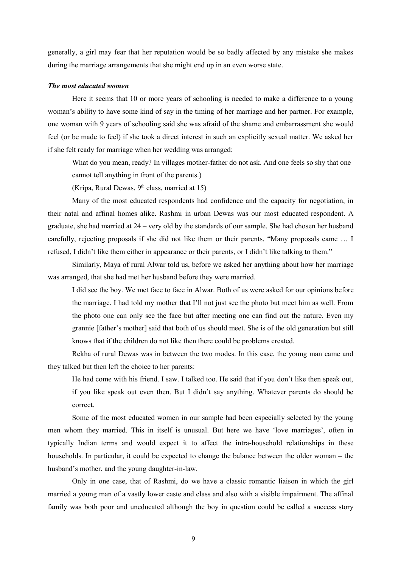generally, a girl may fear that her reputation would be so badly affected by any mistake she makes during the marriage arrangements that she might end up in an even worse state.

### *The most educated women*

Here it seems that 10 or more years of schooling is needed to make a difference to a young woman's ability to have some kind of say in the timing of her marriage and her partner. For example, one woman with 9 years of schooling said she was afraid of the shame and embarrassment she would feel (or be made to feel) if she took a direct interest in such an explicitly sexual matter. We asked her if she felt ready for marriage when her wedding was arranged:

What do you mean, ready? In villages mother-father do not ask. And one feels so shy that one cannot tell anything in front of the parents.)

(Kripa, Rural Dewas,  $9<sup>th</sup>$  class, married at 15)

Many of the most educated respondents had confidence and the capacity for negotiation, in their natal and affinal homes alike. Rashmi in urban Dewas was our most educated respondent. A graduate, she had married at 24 – very old by the standards of our sample. She had chosen her husband carefully, rejecting proposals if she did not like them or their parents. "Many proposals came … I refused, I didn't like them either in appearance or their parents, or I didn't like talking to them."

Similarly, Maya of rural Alwar told us, before we asked her anything about how her marriage was arranged, that she had met her husband before they were married.

I did see the boy. We met face to face in Alwar. Both of us were asked for our opinions before the marriage. I had told my mother that I'll not just see the photo but meet him as well. From the photo one can only see the face but after meeting one can find out the nature. Even my grannie [father's mother] said that both of us should meet. She is of the old generation but still knows that if the children do not like then there could be problems created.

Rekha of rural Dewas was in between the two modes. In this case, the young man came and they talked but then left the choice to her parents:

He had come with his friend. I saw. I talked too. He said that if you don't like then speak out, if you like speak out even then. But I didn't say anything. Whatever parents do should be correct.

Some of the most educated women in our sample had been especially selected by the young men whom they married. This in itself is unusual. But here we have 'love marriages', often in typically Indian terms and would expect it to affect the intra-household relationships in these households. In particular, it could be expected to change the balance between the older woman – the husband's mother, and the young daughter-in-law.

Only in one case, that of Rashmi, do we have a classic romantic liaison in which the girl married a young man of a vastly lower caste and class and also with a visible impairment. The affinal family was both poor and uneducated although the boy in question could be called a success story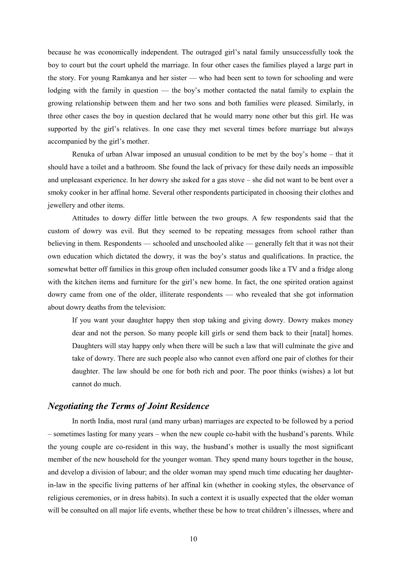because he was economically independent. The outraged girl's natal family unsuccessfully took the boy to court but the court upheld the marriage. In four other cases the families played a large part in the story. For young Ramkanya and her sister — who had been sent to town for schooling and were lodging with the family in question — the boy's mother contacted the natal family to explain the growing relationship between them and her two sons and both families were pleased. Similarly, in three other cases the boy in question declared that he would marry none other but this girl. He was supported by the girl's relatives. In one case they met several times before marriage but always accompanied by the girl's mother.

Renuka of urban Alwar imposed an unusual condition to be met by the boy's home – that it should have a toilet and a bathroom. She found the lack of privacy for these daily needs an impossible and unpleasant experience. In her dowry she asked for a gas stove – she did not want to be bent over a smoky cooker in her affinal home. Several other respondents participated in choosing their clothes and jewellery and other items.

Attitudes to dowry differ little between the two groups. A few respondents said that the custom of dowry was evil. But they seemed to be repeating messages from school rather than believing in them. Respondents — schooled and unschooled alike — generally felt that it was not their own education which dictated the dowry, it was the boy's status and qualifications. In practice, the somewhat better off families in this group often included consumer goods like a TV and a fridge along with the kitchen items and furniture for the girl's new home. In fact, the one spirited oration against dowry came from one of the older, illiterate respondents — who revealed that she got information about dowry deaths from the television:

If you want your daughter happy then stop taking and giving dowry. Dowry makes money dear and not the person. So many people kill girls or send them back to their [natal] homes. Daughters will stay happy only when there will be such a law that will culminate the give and take of dowry. There are such people also who cannot even afford one pair of clothes for their daughter. The law should be one for both rich and poor. The poor thinks (wishes) a lot but cannot do much.

### *Negotiating the Terms of Joint Residence*

In north India, most rural (and many urban) marriages are expected to be followed by a period – sometimes lasting for many years – when the new couple co-habit with the husband's parents. While the young couple are co-resident in this way, the husband's mother is usually the most significant member of the new household for the younger woman. They spend many hours together in the house, and develop a division of labour; and the older woman may spend much time educating her daughterin-law in the specific living patterns of her affinal kin (whether in cooking styles, the observance of religious ceremonies, or in dress habits). In such a context it is usually expected that the older woman will be consulted on all major life events, whether these be how to treat children's illnesses, where and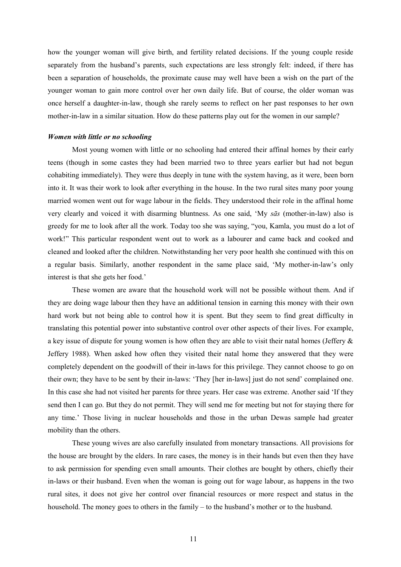how the younger woman will give birth, and fertility related decisions. If the young couple reside separately from the husband's parents, such expectations are less strongly felt: indeed, if there has been a separation of households, the proximate cause may well have been a wish on the part of the younger woman to gain more control over her own daily life. But of course, the older woman was once herself a daughter-in-law, though she rarely seems to reflect on her past responses to her own mother-in-law in a similar situation. How do these patterns play out for the women in our sample?

### *Women with little or no schooling*

Most young women with little or no schooling had entered their affinal homes by their early teens (though in some castes they had been married two to three years earlier but had not begun cohabiting immediately). They were thus deeply in tune with the system having, as it were, been born into it. It was their work to look after everything in the house. In the two rural sites many poor young married women went out for wage labour in the fields. They understood their role in the affinal home very clearly and voiced it with disarming bluntness. As one said, 'My *sās* (mother-in-law) also is greedy for me to look after all the work. Today too she was saying, "you, Kamla, you must do a lot of work!" This particular respondent went out to work as a labourer and came back and cooked and cleaned and looked after the children. Notwithstanding her very poor health she continued with this on a regular basis. Similarly, another respondent in the same place said, 'My mother-in-law's only interest is that she gets her food.'

These women are aware that the household work will not be possible without them. And if they are doing wage labour then they have an additional tension in earning this money with their own hard work but not being able to control how it is spent. But they seem to find great difficulty in translating this potential power into substantive control over other aspects of their lives. For example, a key issue of dispute for young women is how often they are able to visit their natal homes (Jeffery & Jeffery 1988). When asked how often they visited their natal home they answered that they were completely dependent on the goodwill of their in-laws for this privilege. They cannot choose to go on their own; they have to be sent by their in-laws: 'They [her in-laws] just do not send' complained one. In this case she had not visited her parents for three years. Her case was extreme. Another said 'If they send then I can go. But they do not permit. They will send me for meeting but not for staying there for any time.' Those living in nuclear households and those in the urban Dewas sample had greater mobility than the others.

These young wives are also carefully insulated from monetary transactions. All provisions for the house are brought by the elders. In rare cases, the money is in their hands but even then they have to ask permission for spending even small amounts. Their clothes are bought by others, chiefly their in-laws or their husband. Even when the woman is going out for wage labour, as happens in the two rural sites, it does not give her control over financial resources or more respect and status in the household. The money goes to others in the family – to the husband's mother or to the husband.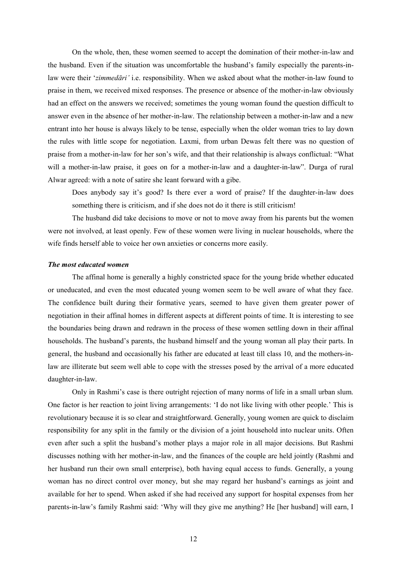On the whole, then, these women seemed to accept the domination of their mother-in-law and the husband. Even if the situation was uncomfortable the husband's family especially the parents-inlaw were their '*zimmedāri'* i.e. responsibility. When we asked about what the mother-in-law found to praise in them, we received mixed responses. The presence or absence of the mother-in-law obviously had an effect on the answers we received; sometimes the young woman found the question difficult to answer even in the absence of her mother-in-law. The relationship between a mother-in-law and a new entrant into her house is always likely to be tense, especially when the older woman tries to lay down the rules with little scope for negotiation. Laxmi, from urban Dewas felt there was no question of praise from a mother-in-law for her son's wife, and that their relationship is always conflictual: "What will a mother-in-law praise, it goes on for a mother-in-law and a daughter-in-law". Durga of rural Alwar agreed: with a note of satire she leant forward with a gibe.

Does anybody say it's good? Is there ever a word of praise? If the daughter-in-law does something there is criticism, and if she does not do it there is still criticism!

The husband did take decisions to move or not to move away from his parents but the women were not involved, at least openly. Few of these women were living in nuclear households, where the wife finds herself able to voice her own anxieties or concerns more easily.

### *The most educated women*

The affinal home is generally a highly constricted space for the young bride whether educated or uneducated, and even the most educated young women seem to be well aware of what they face. The confidence built during their formative years, seemed to have given them greater power of negotiation in their affinal homes in different aspects at different points of time. It is interesting to see the boundaries being drawn and redrawn in the process of these women settling down in their affinal households. The husband's parents, the husband himself and the young woman all play their parts. In general, the husband and occasionally his father are educated at least till class 10, and the mothers-inlaw are illiterate but seem well able to cope with the stresses posed by the arrival of a more educated daughter-in-law.

Only in Rashmi's case is there outright rejection of many norms of life in a small urban slum. One factor is her reaction to joint living arrangements: 'I do not like living with other people.' This is revolutionary because it is so clear and straightforward. Generally, young women are quick to disclaim responsibility for any split in the family or the division of a joint household into nuclear units. Often even after such a split the husband's mother plays a major role in all major decisions. But Rashmi discusses nothing with her mother-in-law, and the finances of the couple are held jointly (Rashmi and her husband run their own small enterprise), both having equal access to funds. Generally, a young woman has no direct control over money, but she may regard her husband's earnings as joint and available for her to spend. When asked if she had received any support for hospital expenses from her parents-in-law's family Rashmi said: 'Why will they give me anything? He [her husband] will earn, I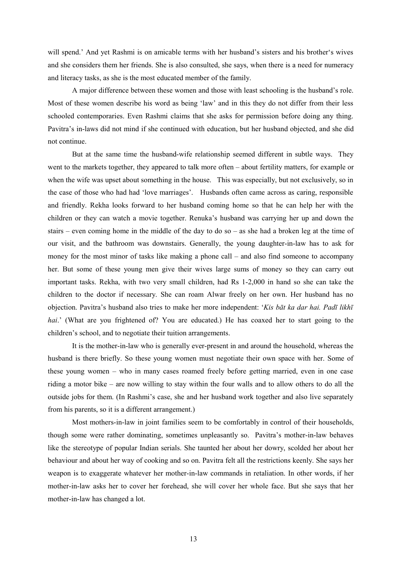will spend.' And yet Rashmi is on amicable terms with her husband's sisters and his brother's wives and she considers them her friends. She is also consulted, she says, when there is a need for numeracy and literacy tasks, as she is the most educated member of the family.

A major difference between these women and those with least schooling is the husband's role. Most of these women describe his word as being 'law' and in this they do not differ from their less schooled contemporaries. Even Rashmi claims that she asks for permission before doing any thing. Pavitra's in-laws did not mind if she continued with education, but her husband objected, and she did not continue.

But at the same time the husband-wife relationship seemed different in subtle ways. They went to the markets together, they appeared to talk more often – about fertility matters, for example or when the wife was upset about something in the house. This was especially, but not exclusively, so in the case of those who had had 'love marriages'. Husbands often came across as caring, responsible and friendly. Rekha looks forward to her husband coming home so that he can help her with the children or they can watch a movie together. Renuka's husband was carrying her up and down the stairs – even coming home in the middle of the day to do so – as she had a broken leg at the time of our visit, and the bathroom was downstairs. Generally, the young daughter-in-law has to ask for money for the most minor of tasks like making a phone call – and also find someone to accompany her. But some of these young men give their wives large sums of money so they can carry out important tasks. Rekha, with two very small children, had Rs 1-2,000 in hand so she can take the children to the doctor if necessary. She can roam Alwar freely on her own. Her husband has no objection. Pavitra's husband also tries to make her more independent: '*Kis bāt ka dar hai. Padī likhī* hai.' (What are you frightened of? You are educated.) He has coaxed her to start going to the children's school, and to negotiate their tuition arrangements.

It is the mother-in-law who is generally ever-present in and around the household, whereas the husband is there briefly. So these young women must negotiate their own space with her. Some of these young women – who in many cases roamed freely before getting married, even in one case riding a motor bike – are now willing to stay within the four walls and to allow others to do all the outside jobs for them. (In Rashmi's case, she and her husband work together and also live separately from his parents, so it is a different arrangement.)

Most mothers-in-law in joint families seem to be comfortably in control of their households, though some were rather dominating, sometimes unpleasantly so. Pavitra's mother-in-law behaves like the stereotype of popular Indian serials. She taunted her about her dowry, scolded her about her behaviour and about her way of cooking and so on. Pavitra felt all the restrictions keenly. She says her weapon is to exaggerate whatever her mother-in-law commands in retaliation. In other words, if her mother-in-law asks her to cover her forehead, she will cover her whole face. But she says that her mother-in-law has changed a lot.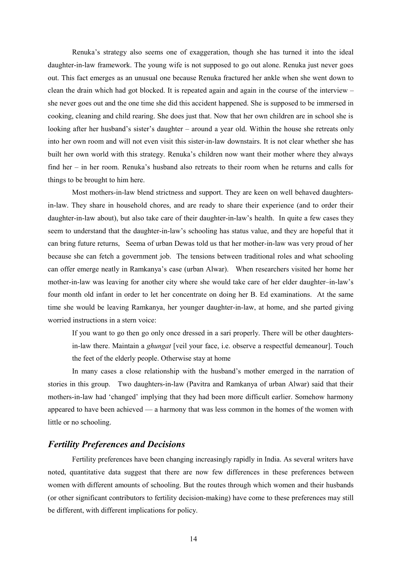Renuka's strategy also seems one of exaggeration, though she has turned it into the ideal daughter-in-law framework. The young wife is not supposed to go out alone. Renuka just never goes out. This fact emerges as an unusual one because Renuka fractured her ankle when she went down to clean the drain which had got blocked. It is repeated again and again in the course of the interview – she never goes out and the one time she did this accident happened. She is supposed to be immersed in cooking, cleaning and child rearing. She does just that. Now that her own children are in school she is looking after her husband's sister's daughter – around a year old. Within the house she retreats only into her own room and will not even visit this sister-in-law downstairs. It is not clear whether she has built her own world with this strategy. Renuka's children now want their mother where they always find her – in her room. Renuka's husband also retreats to their room when he returns and calls for things to be brought to him here.

Most mothers-in-law blend strictness and support. They are keen on well behaved daughtersin-law. They share in household chores, and are ready to share their experience (and to order their daughter-in-law about), but also take care of their daughter-in-law's health. In quite a few cases they seem to understand that the daughter-in-law's schooling has status value, and they are hopeful that it can bring future returns, Seema of urban Dewas told us that her mother-in-law was very proud of her because she can fetch a government job. The tensions between traditional roles and what schooling can offer emerge neatly in Ramkanya's case (urban Alwar). When researchers visited her home her mother-in-law was leaving for another city where she would take care of her elder daughter–in-law's four month old infant in order to let her concentrate on doing her B. Ed examinations. At the same time she would be leaving Ramkanya, her younger daughter-in-law, at home, and she parted giving worried instructions in a stern voice:

If you want to go then go only once dressed in a sari properly. There will be other daughtersin-law there. Maintain a *ghungat* [veil your face, i.e. observe a respectful demeanour]. Touch the feet of the elderly people. Otherwise stay at home

In many cases a close relationship with the husband's mother emerged in the narration of stories in this group. Two daughters-in-law (Pavitra and Ramkanya of urban Alwar) said that their mothers-in-law had 'changed' implying that they had been more difficult earlier. Somehow harmony appeared to have been achieved — a harmony that was less common in the homes of the women with little or no schooling.

## *Fertility Preferences and Decisions*

Fertility preferences have been changing increasingly rapidly in India. As several writers have noted, quantitative data suggest that there are now few differences in these preferences between women with different amounts of schooling. But the routes through which women and their husbands (or other significant contributors to fertility decision-making) have come to these preferences may still be different, with different implications for policy.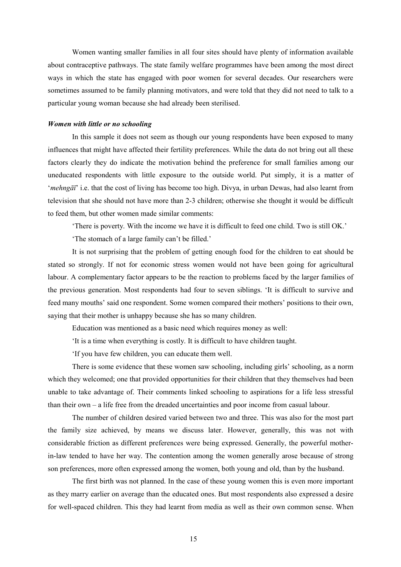Women wanting smaller families in all four sites should have plenty of information available about contraceptive pathways. The state family welfare programmes have been among the most direct ways in which the state has engaged with poor women for several decades. Our researchers were sometimes assumed to be family planning motivators, and were told that they did not need to talk to a particular young woman because she had already been sterilised.

#### *Women with little or no schooling*

In this sample it does not seem as though our young respondents have been exposed to many influences that might have affected their fertility preferences. While the data do not bring out all these factors clearly they do indicate the motivation behind the preference for small families among our uneducated respondents with little exposure to the outside world. Put simply, it is a matter of '*mehngāī*' i.e. that the cost of living has become too high. Divya, in urban Dewas, had also learnt from television that she should not have more than 2-3 children; otherwise she thought it would be difficult to feed them, but other women made similar comments:

'There is poverty. With the income we have it is difficult to feed one child. Two is still OK.'

'The stomach of a large family can't be filled.'

It is not surprising that the problem of getting enough food for the children to eat should be stated so strongly. If not for economic stress women would not have been going for agricultural labour. A complementary factor appears to be the reaction to problems faced by the larger families of the previous generation. Most respondents had four to seven siblings. 'It is difficult to survive and feed many mouths' said one respondent. Some women compared their mothers' positions to their own, saying that their mother is unhappy because she has so many children.

Education was mentioned as a basic need which requires money as well:

'It is a time when everything is costly. It is difficult to have children taught.

'If you have few children, you can educate them well.

There is some evidence that these women saw schooling, including girls' schooling, as a norm which they welcomed; one that provided opportunities for their children that they themselves had been unable to take advantage of. Their comments linked schooling to aspirations for a life less stressful than their own – a life free from the dreaded uncertainties and poor income from casual labour.

The number of children desired varied between two and three. This was also for the most part the family size achieved, by means we discuss later. However, generally, this was not with considerable friction as different preferences were being expressed. Generally, the powerful motherin-law tended to have her way. The contention among the women generally arose because of strong son preferences, more often expressed among the women, both young and old, than by the husband.

The first birth was not planned. In the case of these young women this is even more important as they marry earlier on average than the educated ones. But most respondents also expressed a desire for well-spaced children. This they had learnt from media as well as their own common sense. When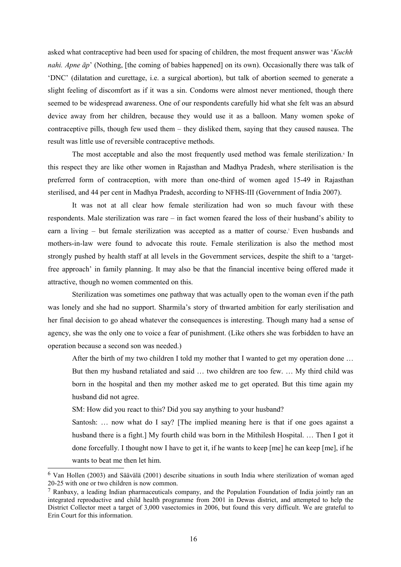asked what contraceptive had been used for spacing of children, the most frequent answer was '*Kuchh nahi. Apne*  $\bar{a}p$ ' (Nothing, [the coming of babies happened] on its own). Occasionally there was talk of 'DNC' (dilatation and curettage, i.e. a surgical abortion), but talk of abortion seemed to generate a slight feeling of discomfort as if it was a sin. Condoms were almost never mentioned, though there seemed to be widespread awareness. One of our respondents carefully hid what she felt was an absurd device away from her children, because they would use it as a balloon. Many women spoke of contraceptive pills, though few used them – they disliked them, saying that they caused nausea. The result was little use of reversible contraceptive methods.

The most acceptable and also the most frequently used method was female sterilization.<sup>[6](#page-15-0)</sup> In this respect they are like other women in Rajasthan and Madhya Pradesh, where sterilisation is the preferred form of contraception, with more than one-third of women aged 15-49 in Rajasthan sterilised, and 44 per cent in Madhya Pradesh, according to NFHS-III (Government of India 2007).

It was not at all clear how female sterilization had won so much favour with these respondents. Male sterilization was rare – in fact women feared the loss of their husband's ability to earn a living – but female sterilization was accepted as a matter of course[.](#page-15-1)<sup>7</sup> Even husbands and mothers-in-law were found to advocate this route. Female sterilization is also the method most strongly pushed by health staff at all levels in the Government services, despite the shift to a 'targetfree approach' in family planning. It may also be that the financial incentive being offered made it attractive, though no women commented on this.

Sterilization was sometimes one pathway that was actually open to the woman even if the path was lonely and she had no support. Sharmila's story of thwarted ambition for early sterilisation and her final decision to go ahead whatever the consequences is interesting. Though many had a sense of agency, she was the only one to voice a fear of punishment. (Like others she was forbidden to have an operation because a second son was needed.)

After the birth of my two children I told my mother that I wanted to get my operation done …

But then my husband retaliated and said … two children are too few. … My third child was born in the hospital and then my mother asked me to get operated. But this time again my husband did not agree.

SM: How did you react to this? Did you say anything to your husband?

Santosh: … now what do I say? [The implied meaning here is that if one goes against a husband there is a fight.] My fourth child was born in the Mithilesh Hospital. … Then I got it done forcefully. I thought now I have to get it, if he wants to keep [me] he can keep [me], if he wants to beat me then let him.

<span id="page-15-0"></span><sup>&</sup>lt;sup>6</sup> Van Hollen (2003) and Säävälä (2001) describe situations in south India where sterilization of woman aged 20-25 with one or two children is now common.

<span id="page-15-1"></span><sup>7</sup> Ranbaxy, a leading Indian pharmaceuticals company, and the Population Foundation of India jointly ran an integrated reproductive and child health programme from 2001 in Dewas district, and attempted to help the District Collector meet a target of 3,000 vasectomies in 2006, but found this very difficult. We are grateful to Erin Court for this information.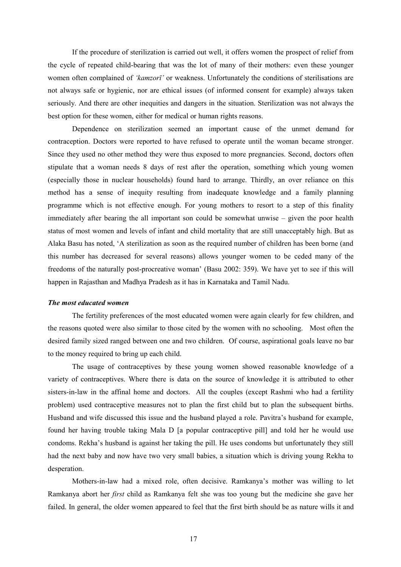If the procedure of sterilization is carried out well, it offers women the prospect of relief from the cycle of repeated child-bearing that was the lot of many of their mothers: even these younger women often complained of *'kamzorī'* or weakness. Unfortunately the conditions of sterilisations are not always safe or hygienic, nor are ethical issues (of informed consent for example) always taken seriously. And there are other inequities and dangers in the situation. Sterilization was not always the best option for these women, either for medical or human rights reasons.

Dependence on sterilization seemed an important cause of the unmet demand for contraception. Doctors were reported to have refused to operate until the woman became stronger. Since they used no other method they were thus exposed to more pregnancies. Second, doctors often stipulate that a woman needs 8 days of rest after the operation, something which young women (especially those in nuclear households) found hard to arrange. Thirdly, an over reliance on this method has a sense of inequity resulting from inadequate knowledge and a family planning programme which is not effective enough. For young mothers to resort to a step of this finality immediately after bearing the all important son could be somewhat unwise – given the poor health status of most women and levels of infant and child mortality that are still unacceptably high. But as Alaka Basu has noted, 'A sterilization as soon as the required number of children has been borne (and this number has decreased for several reasons) allows younger women to be ceded many of the freedoms of the naturally post-procreative woman' (Basu 2002: 359). We have yet to see if this will happen in Rajasthan and Madhya Pradesh as it has in Karnataka and Tamil Nadu.

#### *The most educated women*

The fertility preferences of the most educated women were again clearly for few children, and the reasons quoted were also similar to those cited by the women with no schooling. Most often the desired family sized ranged between one and two children. Of course, aspirational goals leave no bar to the money required to bring up each child.

The usage of contraceptives by these young women showed reasonable knowledge of a variety of contraceptives. Where there is data on the source of knowledge it is attributed to other sisters-in-law in the affinal home and doctors. All the couples (except Rashmi who had a fertility problem) used contraceptive measures not to plan the first child but to plan the subsequent births. Husband and wife discussed this issue and the husband played a role. Pavitra's husband for example, found her having trouble taking Mala D [a popular contraceptive pill] and told her he would use condoms. Rekha's husband is against her taking the pill. He uses condoms but unfortunately they still had the next baby and now have two very small babies, a situation which is driving young Rekha to desperation.

Mothers-in-law had a mixed role, often decisive. Ramkanya's mother was willing to let Ramkanya abort her *first* child as Ramkanya felt she was too young but the medicine she gave her failed. In general, the older women appeared to feel that the first birth should be as nature wills it and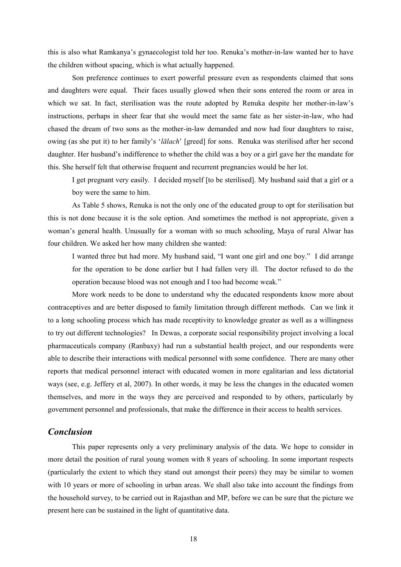this is also what Ramkanya's gynaecologist told her too. Renuka's mother-in-law wanted her to have the children without spacing, which is what actually happened.

Son preference continues to exert powerful pressure even as respondents claimed that sons and daughters were equal. Their faces usually glowed when their sons entered the room or area in which we sat. In fact, sterilisation was the route adopted by Renuka despite her mother-in-law's instructions, perhaps in sheer fear that she would meet the same fate as her sister-in-law, who had chased the dream of two sons as the mother-in-law demanded and now had four daughters to raise, owing (as she put it) to her family's '*lālach*' [greed] for sons. Renuka was sterilised after her second daughter. Her husband's indifference to whether the child was a boy or a girl gave her the mandate for this. She herself felt that otherwise frequent and recurrent pregnancies would be her lot.

I get pregnant very easily. I decided myself [to be sterilised]. My husband said that a girl or a boy were the same to him.

As Table 5 shows, Renuka is not the only one of the educated group to opt for sterilisation but this is not done because it is the sole option. And sometimes the method is not appropriate, given a woman's general health. Unusually for a woman with so much schooling, Maya of rural Alwar has four children. We asked her how many children she wanted:

I wanted three but had more. My husband said, "I want one girl and one boy." I did arrange for the operation to be done earlier but I had fallen very ill. The doctor refused to do the operation because blood was not enough and I too had become weak."

More work needs to be done to understand why the educated respondents know more about contraceptives and are better disposed to family limitation through different methods. Can we link it to a long schooling process which has made receptivity to knowledge greater as well as a willingness to try out different technologies? In Dewas, a corporate social responsibility project involving a local pharmaceuticals company (Ranbaxy) had run a substantial health project, and our respondents were able to describe their interactions with medical personnel with some confidence. There are many other reports that medical personnel interact with educated women in more egalitarian and less dictatorial ways (see, e.g. Jeffery et al, 2007). In other words, it may be less the changes in the educated women themselves, and more in the ways they are perceived and responded to by others, particularly by government personnel and professionals, that make the difference in their access to health services.

# *Conclusion*

This paper represents only a very preliminary analysis of the data. We hope to consider in more detail the position of rural young women with 8 years of schooling. In some important respects (particularly the extent to which they stand out amongst their peers) they may be similar to women with 10 years or more of schooling in urban areas. We shall also take into account the findings from the household survey, to be carried out in Rajasthan and MP, before we can be sure that the picture we present here can be sustained in the light of quantitative data.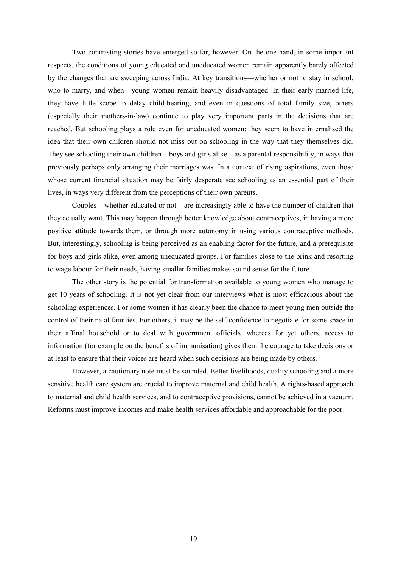Two contrasting stories have emerged so far, however. On the one hand, in some important respects, the conditions of young educated and uneducated women remain apparently barely affected by the changes that are sweeping across India. At key transitions—whether or not to stay in school, who to marry, and when—young women remain heavily disadvantaged. In their early married life, they have little scope to delay child-bearing, and even in questions of total family size, others (especially their mothers-in-law) continue to play very important parts in the decisions that are reached. But schooling plays a role even for uneducated women: they seem to have internalised the idea that their own children should not miss out on schooling in the way that they themselves did. They see schooling their own children – boys and girls alike – as a parental responsibility, in ways that previously perhaps only arranging their marriages was. In a context of rising aspirations, even those whose current financial situation may be fairly desperate see schooling as an essential part of their lives, in ways very different from the perceptions of their own parents.

Couples – whether educated or not – are increasingly able to have the number of children that they actually want. This may happen through better knowledge about contraceptives, in having a more positive attitude towards them, or through more autonomy in using various contraceptive methods. But, interestingly, schooling is being perceived as an enabling factor for the future, and a prerequisite for boys and girls alike, even among uneducated groups. For families close to the brink and resorting to wage labour for their needs, having smaller families makes sound sense for the future.

The other story is the potential for transformation available to young women who manage to get 10 years of schooling. It is not yet clear from our interviews what is most efficacious about the schooling experiences. For some women it has clearly been the chance to meet young men outside the control of their natal families. For others, it may be the self-confidence to negotiate for some space in their affinal household or to deal with government officials, whereas for yet others, access to information (for example on the benefits of immunisation) gives them the courage to take decisions or at least to ensure that their voices are heard when such decisions are being made by others.

However, a cautionary note must be sounded. Better livelihoods, quality schooling and a more sensitive health care system are crucial to improve maternal and child health. A rights-based approach to maternal and child health services, and to contraceptive provisions, cannot be achieved in a vacuum. Reforms must improve incomes and make health services affordable and approachable for the poor.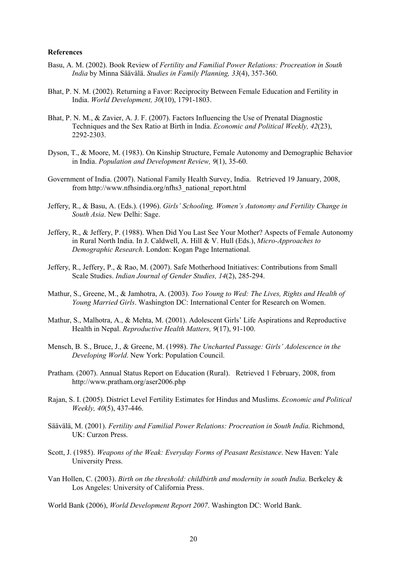#### **References**

- Basu, A. M. (2002). Book Review of *Fertility and Familial Power Relations: Procreation in South India* by Minna Säävälä. *Studies in Family Planning, 33*(4), 357-360.
- Bhat, P. N. M. (2002). Returning a Favor: Reciprocity Between Female Education and Fertility in India. *World Development, 30*(10), 1791-1803.
- Bhat, P. N. M., & Zavier, A. J. F. (2007). Factors Influencing the Use of Prenatal Diagnostic Techniques and the Sex Ratio at Birth in India. *Economic and Political Weekly, 42*(23), 2292-2303.
- Dyson, T., & Moore, M. (1983). On Kinship Structure, Female Autonomy and Demographic Behavior in India. *Population and Development Review, 9*(1), 35-60.
- Government of India. (2007). National Family Health Survey, India. Retrieved 19 January, 2008, from http://www.nfhsindia.org/nfhs3\_national\_report.html
- Jeffery, R., & Basu, A. (Eds.). (1996). *Girls' Schooling, Women's Autonomy and Fertility Change in South Asia*. New Delhi: Sage.
- Jeffery, R., & Jeffery, P. (1988). When Did You Last See Your Mother? Aspects of Female Autonomy in Rural North India. In J. Caldwell, A. Hill & V. Hull (Eds.), *Micro-Approaches to Demographic Research*. London: Kogan Page International.
- Jeffery, R., Jeffery, P., & Rao, M. (2007). Safe Motherhood Initiatives: Contributions from Small Scale Studies. *Indian Journal of Gender Studies, 14*(2), 285-294.
- Mathur, S., Greene, M., & Jamhotra, A. (2003). *Too Young to Wed: The Lives, Rights and Health of Young Married Girls*. Washington DC: International Center for Research on Women.
- Mathur, S., Malhotra, A., & Mehta, M. (2001). Adolescent Girls' Life Aspirations and Reproductive Health in Nepal. *Reproductive Health Matters, 9*(17), 91-100.
- Mensch, B. S., Bruce, J., & Greene, M. (1998). *The Uncharted Passage: Girls' Adolescence in the Developing World*. New York: Population Council.
- Pratham. (2007). Annual Status Report on Education (Rural). Retrieved 1 February, 2008, from http://www.pratham.org/aser2006.php
- Rajan, S. I. (2005). District Level Fertility Estimates for Hindus and Muslims. *Economic and Political Weekly, 40*(5), 437-446.
- Säävälä, M. (2001). *Fertility and Familial Power Relations: Procreation in South India*. Richmond, UK: Curzon Press.
- Scott, J. (1985). *Weapons of the Weak: Everyday Forms of Peasant Resistance*. New Haven: Yale University Press.
- Van Hollen, C. (2003). *Birth on the threshold: childbirth and modernity in south India*. Berkeley & Los Angeles: University of California Press.

World Bank (2006), *World Development Report 2007*. Washington DC: World Bank.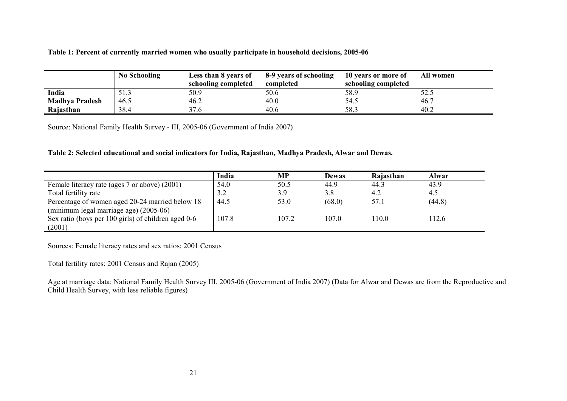**Table 1: Percent of currently married women who usually participate in household decisions, 2005-06**

|                       | <b>No Schooling</b> | Less than 8 years of | 8-9 years of schooling | 10 years or more of | All women |
|-----------------------|---------------------|----------------------|------------------------|---------------------|-----------|
|                       |                     | schooling completed  | completed              | schooling completed |           |
| India                 | 51.3                | 50.9                 | 50.6                   | 58.9                | 52.5      |
| <b>Madhya Pradesh</b> | 46.5                | 46.2                 | 40.0                   | 54.5                | 46.7      |
| Rajasthan             | 38.4                | 37.6                 | 40.6                   | 58.3                | 40.2      |

Source: National Family Health Survey - III, 2005-06 (Government of India 2007)

**Table 2: Selected educational and social indicators for India, Rajasthan, Madhya Pradesh, Alwar and Dewas.** 

|                                                     | India | <b>MP</b> | <b>Dewas</b> | Rajasthan | <b>Alwar</b> |
|-----------------------------------------------------|-------|-----------|--------------|-----------|--------------|
| Female literacy rate (ages 7 or above) (2001)       | 54.0  | 50.5      | 44.9         | 44.3      | 43.9         |
| Total fertility rate                                | 3.2   | 3.9       | 3.8          | 4.2       | 4.5          |
| Percentage of women aged 20-24 married below 18     | 44.5  | 53.0      | (68.0)       | 57.1      | (44.8)       |
| (minimum legal marriage age) (2005-06)              |       |           |              |           |              |
| Sex ratio (boys per 100 girls) of children aged 0-6 | 107.8 | 107.2     | 107.0        | 110.0     | 12.6         |
| (2001)                                              |       |           |              |           |              |

Sources: Female literacy rates and sex ratios: 2001 Census

Total fertility rates: 2001 Census and Rajan (2005)

Age at marriage data: National Family Health Survey III, 2005-06 (Government of India 2007) (Data for Alwar and Dewas are from the Reproductive and Child Health Survey, with less reliable figures)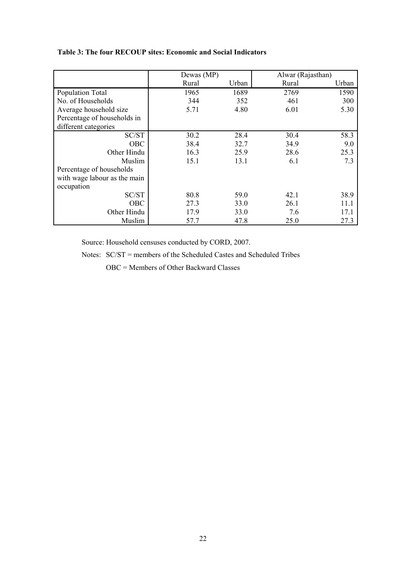|                              | Dewas (MP) |       |       | Alwar (Rajasthan) |
|------------------------------|------------|-------|-------|-------------------|
|                              | Rural      | Urban | Rural | Urban             |
| Population Total             | 1965       | 1689  | 2769  | 1590              |
| No. of Households            | 344        | 352   | 461   | 300               |
| Average household size       | 5.71       | 4.80  | 6.01  | 5.30              |
| Percentage of households in  |            |       |       |                   |
| different categories         |            |       |       |                   |
| SC/ST                        | 30.2       | 28.4  | 30.4  | 58.3              |
| <b>OBC</b>                   | 38.4       | 32.7  | 34.9  | 9.0               |
| Other Hindu                  | 16.3       | 25.9  | 28.6  | 25.3              |
| Muslim                       | 15.1       | 13.1  | 6.1   | 7.3               |
| Percentage of households     |            |       |       |                   |
| with wage labour as the main |            |       |       |                   |
| occupation                   |            |       |       |                   |
| SC/ST                        | 80.8       | 59.0  | 42.1  | 38.9              |
| OBC                          | 27.3       | 33.0  | 26.1  | 11.1              |
| Other Hindu                  | 17.9       | 33.0  | 7.6   | 17.1              |
| Muslim                       | 57.7       | 47.8  | 25.0  | 27.3              |

Source: Household censuses conducted by CORD, 2007.

Notes: SC/ST = members of the Scheduled Castes and Scheduled Tribes

OBC = Members of Other Backward Classes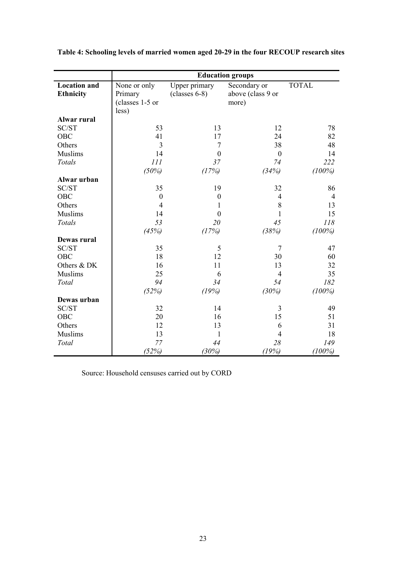|                     | <b>Education groups</b> |                  |                   |                |  |
|---------------------|-------------------------|------------------|-------------------|----------------|--|
| <b>Location</b> and | None or only            | Upper primary    | Secondary or      | <b>TOTAL</b>   |  |
| <b>Ethnicity</b>    | Primary                 | $(classes 6-8)$  | above (class 9 or |                |  |
|                     | (classes 1-5 or         |                  | more)             |                |  |
|                     | less)                   |                  |                   |                |  |
| Alwar rural         |                         |                  |                   |                |  |
| SC/ST               | 53                      | 13               | 12                | 78             |  |
| OBC                 | 41                      | 17               | 24                | 82             |  |
| Others              | $\overline{3}$          | $\overline{7}$   | 38                | 48             |  |
| Muslims             | 14                      | $\theta$         | $\boldsymbol{0}$  | 14             |  |
| Totals              | 111                     | 37               | 74                | 222            |  |
|                     | (50%)                   | (17%)            | (34%)             | $(100\%)$      |  |
| Alwar urban         |                         |                  |                   |                |  |
| SC/ST               | 35                      | 19               | 32                | 86             |  |
| <b>OBC</b>          | $\boldsymbol{0}$        | $\boldsymbol{0}$ | 4                 | $\overline{4}$ |  |
| Others              | $\overline{4}$          | 1                | 8                 | 13             |  |
| <b>Muslims</b>      | 14                      | $\boldsymbol{0}$ | $\mathbf{1}$      | 15             |  |
| Totals              | 53                      | 20               | 45                | 118            |  |
|                     | (45%)                   | (17%)            | (38%)             | $(100\%)$      |  |
| Dewas rural         |                         |                  |                   |                |  |
| SC/ST               | 35                      | 5                | $\overline{7}$    | 47             |  |
| <b>OBC</b>          | 18                      | 12               | 30                | 60             |  |
| Others & DK         | 16                      | 11               | 13                | 32             |  |
| <b>Muslims</b>      | 25                      | 6                | $\overline{4}$    | 35             |  |
| Total               | 94                      | 34               | 54                | 182            |  |
|                     | (52%)                   | (19%)            | (30%)             | $(100\%)$      |  |
| Dewas urban         |                         |                  |                   |                |  |
| SC/ST               | 32                      | 14               | 3                 | 49             |  |
| <b>OBC</b>          | 20                      | 16               | 15                | 51             |  |
| Others              | 12                      | 13               | 6                 | 31             |  |
| <b>Muslims</b>      | 13                      | $\mathbf{1}$     | 4                 | 18             |  |
| Total               | 77                      | 44               | 28                | 149            |  |
|                     | (52%)                   | (30%)            | (19%)             | $(100\%)$      |  |

**Table 4: Schooling levels of married women aged 20-29 in the four RECOUP research sites**

Source: Household censuses carried out by CORD